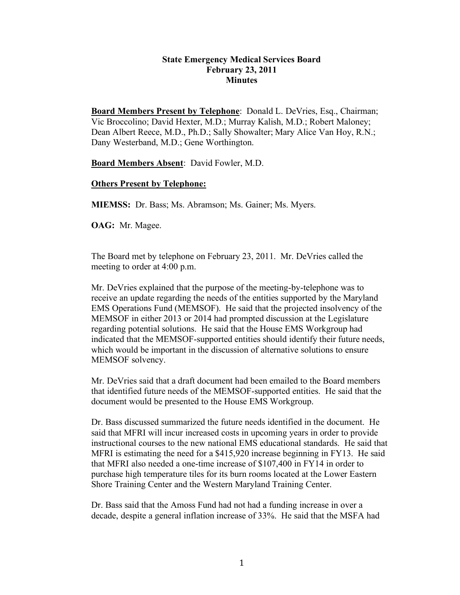## **State Emergency Medical Services Board February 23, 2011 Minutes**

**Board Members Present by Telephone**: Donald L. DeVries, Esq., Chairman; Vic Broccolino; David Hexter, M.D.; Murray Kalish, M.D.; Robert Maloney; Dean Albert Reece, M.D., Ph.D.; Sally Showalter; Mary Alice Van Hoy, R.N.; Dany Westerband, M.D.; Gene Worthington.

**Board Members Absent**: David Fowler, M.D.

## **Others Present by Telephone:**

**MIEMSS:** Dr. Bass; Ms. Abramson; Ms. Gainer; Ms. Myers.

**OAG:** Mr. Magee.

The Board met by telephone on February 23, 2011. Mr. DeVries called the meeting to order at 4:00 p.m.

Mr. DeVries explained that the purpose of the meeting-by-telephone was to receive an update regarding the needs of the entities supported by the Maryland EMS Operations Fund (MEMSOF). He said that the projected insolvency of the MEMSOF in either 2013 or 2014 had prompted discussion at the Legislature regarding potential solutions. He said that the House EMS Workgroup had indicated that the MEMSOF-supported entities should identify their future needs, which would be important in the discussion of alternative solutions to ensure MEMSOF solvency.

Mr. DeVries said that a draft document had been emailed to the Board members that identified future needs of the MEMSOF-supported entities. He said that the document would be presented to the House EMS Workgroup.

Dr. Bass discussed summarized the future needs identified in the document. He said that MFRI will incur increased costs in upcoming years in order to provide instructional courses to the new national EMS educational standards. He said that MFRI is estimating the need for a \$415,920 increase beginning in FY13. He said that MFRI also needed a one-time increase of \$107,400 in FY14 in order to purchase high temperature tiles for its burn rooms located at the Lower Eastern Shore Training Center and the Western Maryland Training Center.

Dr. Bass said that the Amoss Fund had not had a funding increase in over a decade, despite a general inflation increase of 33%. He said that the MSFA had